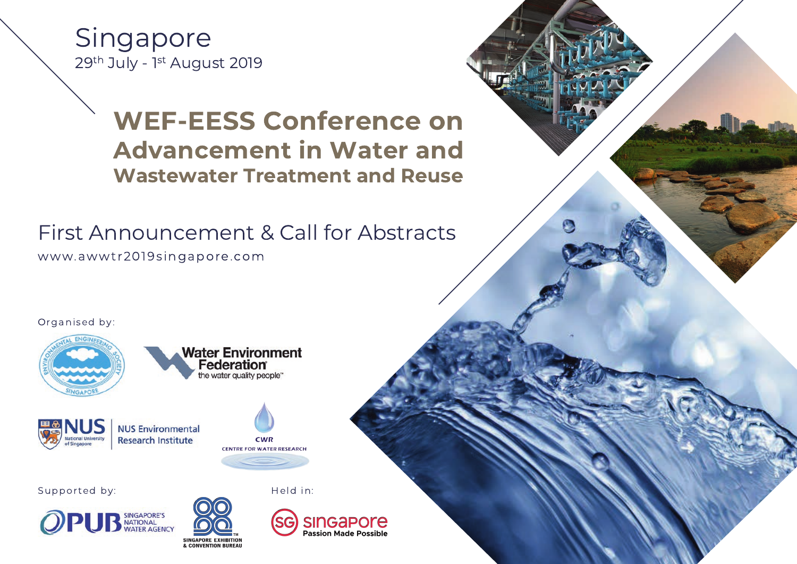Singapore 29th July - 1st August 2019

## **WEF-EESS Conference on Advancement in Water and Wastewater Treatment and Reuse**

First Announcement & Call for Abstracts

www.awwtr2019singapore.com

Organised by:









Held in:

Supported by: